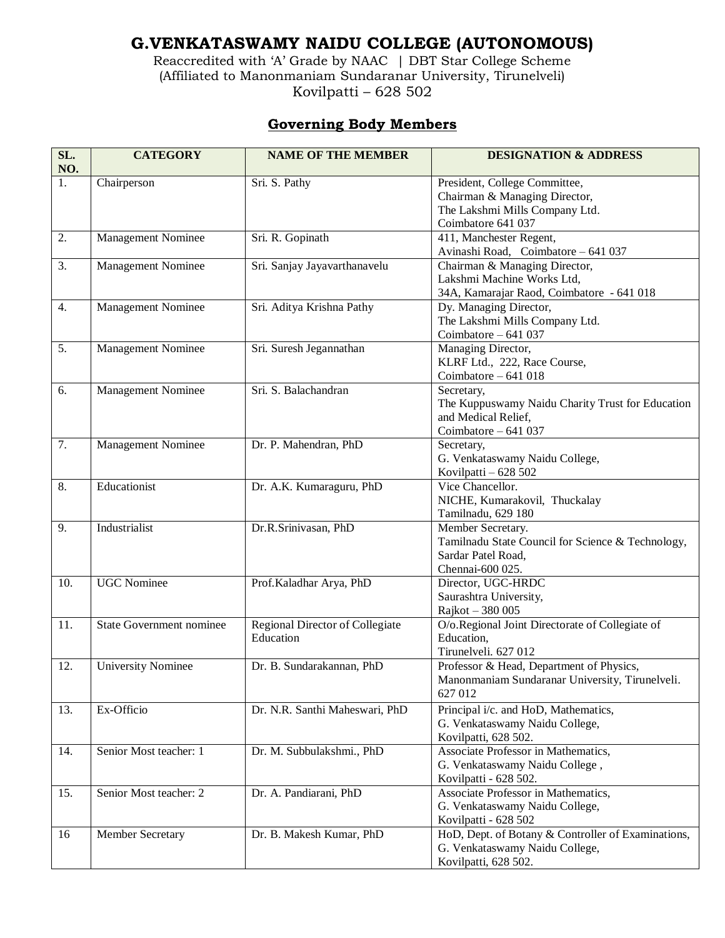## **G.VENKATASWAMY NAIDU COLLEGE (AUTONOMOUS)**

Reaccredited with 'A' Grade by NAAC | DBT Star College Scheme (Affiliated to Manonmaniam Sundaranar University, Tirunelveli) Kovilpatti – 628 502

## **Governing Body Members**

| SL.<br>NO.       | <b>CATEGORY</b>                 | <b>NAME OF THE MEMBER</b>                           | <b>DESIGNATION &amp; ADDRESS</b>                                                                                       |
|------------------|---------------------------------|-----------------------------------------------------|------------------------------------------------------------------------------------------------------------------------|
| 1.               | Chairperson                     | Sri. S. Pathy                                       | President, College Committee,<br>Chairman & Managing Director,<br>The Lakshmi Mills Company Ltd.<br>Coimbatore 641 037 |
| $\overline{2}$ . | Management Nominee              | Sri. R. Gopinath                                    | 411, Manchester Regent,<br>Avinashi Road, Coimbatore - 641 037                                                         |
| 3.               | Management Nominee              | Sri. Sanjay Jayavarthanavelu                        | Chairman & Managing Director,<br>Lakshmi Machine Works Ltd,<br>34A, Kamarajar Raod, Coimbatore - 641 018               |
| 4.               | Management Nominee              | Sri. Aditya Krishna Pathy                           | Dy. Managing Director,<br>The Lakshmi Mills Company Ltd.<br>Coimbatore $-641037$                                       |
| 5.               | Management Nominee              | Sri. Suresh Jegannathan                             | Managing Director,<br>KLRF Ltd., 222, Race Course,<br>Coimbatore $-641018$                                             |
| 6.               | <b>Management Nominee</b>       | Sri. S. Balachandran                                | Secretary,<br>The Kuppuswamy Naidu Charity Trust for Education<br>and Medical Relief,<br>Coimbatore $-641037$          |
| 7.               | Management Nominee              | Dr. P. Mahendran, PhD                               | Secretary,<br>G. Venkataswamy Naidu College,<br>Kovilpatti - 628 502                                                   |
| 8.               | Educationist                    | Dr. A.K. Kumaraguru, PhD                            | Vice Chancellor.<br>NICHE, Kumarakovil, Thuckalay<br>Tamilnadu, 629 180                                                |
| 9.               | Industrialist                   | Dr.R.Srinivasan, PhD                                | Member Secretary.<br>Tamilnadu State Council for Science & Technology,<br>Sardar Patel Road,<br>Chennai-600 025.       |
| 10.              | <b>UGC</b> Nominee              | Prof. Kaladhar Arya, PhD                            | Director, UGC-HRDC<br>Saurashtra University,<br>Rajkot - 380 005                                                       |
| 11.              | <b>State Government nominee</b> | <b>Regional Director of Collegiate</b><br>Education | O/o.Regional Joint Directorate of Collegiate of<br>Education,<br>Tirunelveli. 627 012                                  |
| 12.              | <b>University Nominee</b>       | Dr. B. Sundarakannan, PhD                           | Professor & Head, Department of Physics,<br>Manonmaniam Sundaranar University, Tirunelveli.<br>627 012                 |
| 13.              | Ex-Officio                      | Dr. N.R. Santhi Maheswari, PhD                      | Principal i/c. and HoD, Mathematics,<br>G. Venkataswamy Naidu College,<br>Kovilpatti, 628 502.                         |
| 14.              | Senior Most teacher: 1          | Dr. M. Subbulakshmi., PhD                           | Associate Professor in Mathematics,<br>G. Venkataswamy Naidu College,<br>Kovilpatti - 628 502.                         |
| 15.              | Senior Most teacher: 2          | Dr. A. Pandiarani, PhD                              | Associate Professor in Mathematics,<br>G. Venkataswamy Naidu College,<br>Kovilpatti - 628 502                          |
| 16               | Member Secretary                | Dr. B. Makesh Kumar, PhD                            | HoD, Dept. of Botany & Controller of Examinations,<br>G. Venkataswamy Naidu College,<br>Kovilpatti, 628 502.           |